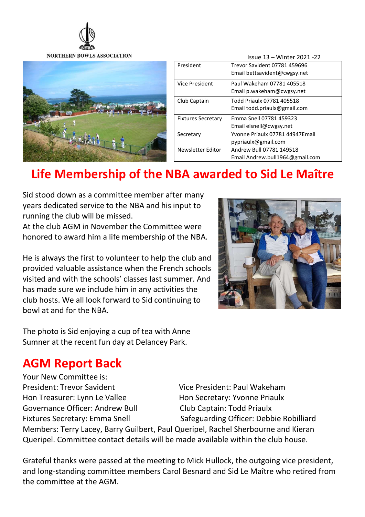



|  |                           | Issue 13 – Winter 2021 -22      |
|--|---------------------------|---------------------------------|
|  | President                 | Trevor Savident 07781 459696    |
|  |                           | Email bettsavident@cwgsy.net    |
|  | <b>Vice President</b>     | Paul Wakeham 07781 405518       |
|  |                           | Email p.wakeham@cwgsy.net       |
|  | Club Captain              | Todd Priaulx 07781 405518       |
|  |                           | Email todd.priaulx@gmail.com    |
|  | <b>Fixtures Secretary</b> | Emma Snell 07781 459323         |
|  |                           | Email elsnell@cwgsy.net         |
|  | Secretary                 | Yvonne Priaulx 07781 44947Email |
|  |                           | pypriaulx@gmail.com             |
|  | <b>Newsletter Editor</b>  | Andrew Bull 07781 149518        |
|  |                           | Email Andrew.bull1964@gmail.com |

# Life Membership of the NBA awarded to Sid Le Maître

Sid stood down as a committee member after many years dedicated service to the NBA and his input to running the club will be missed.

At the club AGM in November the Committee were honored to award him a life membership of the NBA.

He is always the first to volunteer to help the club and provided valuable assistance when the French schools visited and with the schools' classes last summer. And has made sure we include him in any activities the club hosts. We all look forward to Sid continuing to bowl at and for the NBA.



The photo is Sid enjoying a cup of tea with Anne Sumner at the recent fun day at Delancey Park.

#### AGM Report Back

Your New Committee is: President: Trevor Savident Vice President: Paul Wakeham Hon Treasurer: Lynn Le Vallee Hon Secretary: Yvonne Priaulx Governance Officer: Andrew Bull Club Captain: Todd Priaulx

Fixtures Secretary: Emma Snell Safeguarding Officer: Debbie Robilliard Members: Terry Lacey, Barry Guilbert, Paul Queripel, Rachel Sherbourne and Kieran

Queripel. Committee contact details will be made available within the club house.

Grateful thanks were passed at the meeting to Mick Hullock, the outgoing vice president, and long-standing committee members Carol Besnard and Sid Le Maître who retired from the committee at the AGM.